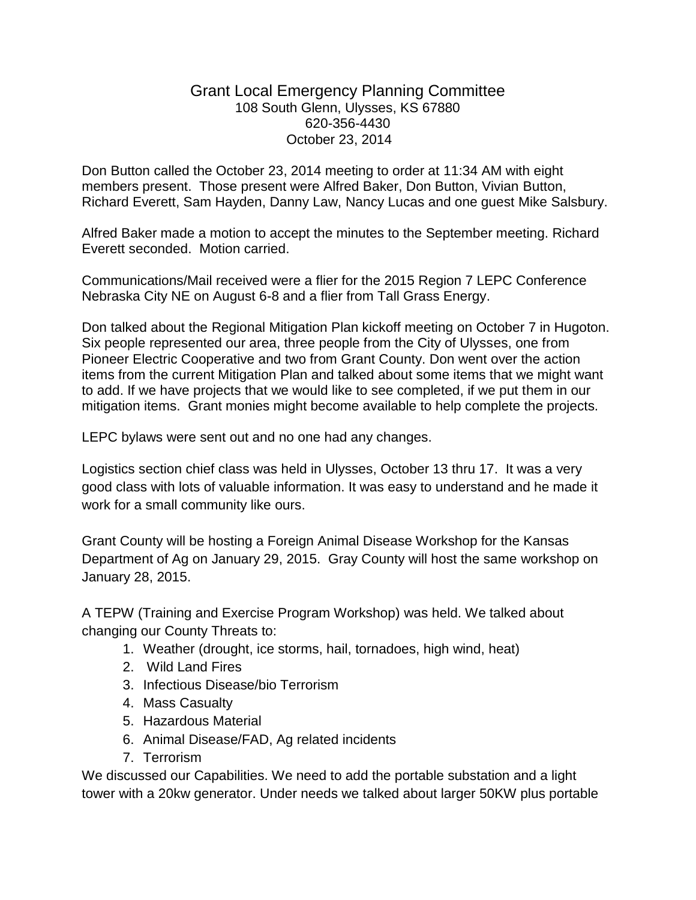## Grant Local Emergency Planning Committee 108 South Glenn, Ulysses, KS 67880 620-356-4430 October 23, 2014

Don Button called the October 23, 2014 meeting to order at 11:34 AM with eight members present. Those present were Alfred Baker, Don Button, Vivian Button, Richard Everett, Sam Hayden, Danny Law, Nancy Lucas and one guest Mike Salsbury.

Alfred Baker made a motion to accept the minutes to the September meeting. Richard Everett seconded. Motion carried.

Communications/Mail received were a flier for the 2015 Region 7 LEPC Conference Nebraska City NE on August 6-8 and a flier from Tall Grass Energy.

Don talked about the Regional Mitigation Plan kickoff meeting on October 7 in Hugoton. Six people represented our area, three people from the City of Ulysses, one from Pioneer Electric Cooperative and two from Grant County. Don went over the action items from the current Mitigation Plan and talked about some items that we might want to add. If we have projects that we would like to see completed, if we put them in our mitigation items. Grant monies might become available to help complete the projects.

LEPC bylaws were sent out and no one had any changes.

Logistics section chief class was held in Ulysses, October 13 thru 17. It was a very good class with lots of valuable information. It was easy to understand and he made it work for a small community like ours.

Grant County will be hosting a Foreign Animal Disease Workshop for the Kansas Department of Ag on January 29, 2015. Gray County will host the same workshop on January 28, 2015.

A TEPW (Training and Exercise Program Workshop) was held. We talked about changing our County Threats to:

- 1. Weather (drought, ice storms, hail, tornadoes, high wind, heat)
- 2. Wild Land Fires
- 3. Infectious Disease/bio Terrorism
- 4. Mass Casualty
- 5. Hazardous Material
- 6. Animal Disease/FAD, Ag related incidents
- 7. Terrorism

We discussed our Capabilities. We need to add the portable substation and a light tower with a 20kw generator. Under needs we talked about larger 50KW plus portable